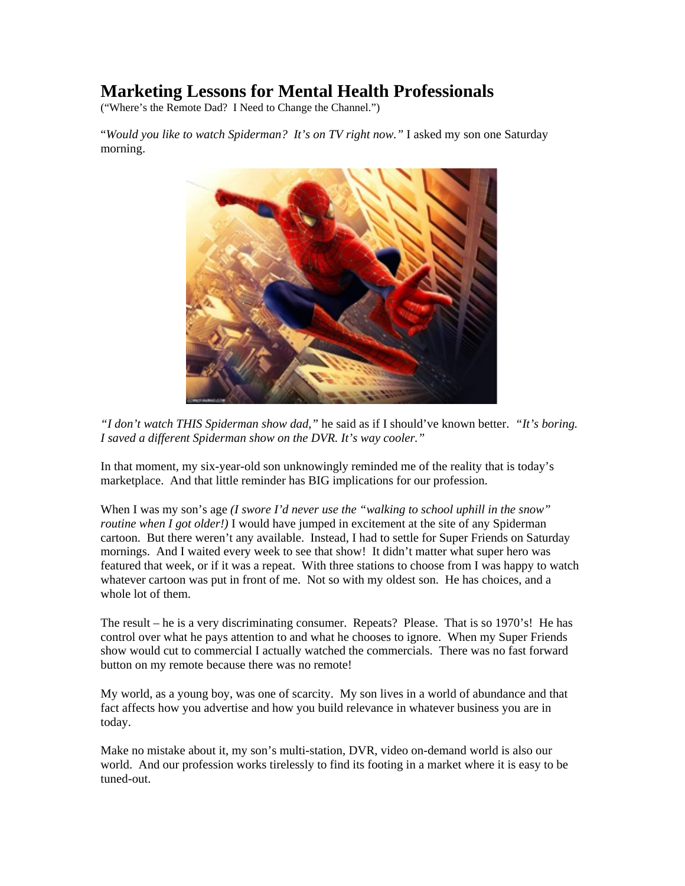# **Marketing Lessons for Mental Health Professionals**

("Where's the Remote Dad? I Need to Change the Channel.")

"*Would you like to watch Spiderman? It's on TV right now."* I asked my son one Saturday morning.



*"I don't watch THIS Spiderman show dad,"* he said as if I should've known better. *"It's boring. I saved a different Spiderman show on the DVR. It's way cooler."*

In that moment, my six-year-old son unknowingly reminded me of the reality that is today's marketplace. And that little reminder has BIG implications for our profession.

When I was my son's age *(I swore I'd never use the "walking to school uphill in the snow" routine when I got older!*) I would have jumped in excitement at the site of any Spiderman cartoon. But there weren't any available. Instead, I had to settle for Super Friends on Saturday mornings. And I waited every week to see that show! It didn't matter what super hero was featured that week, or if it was a repeat. With three stations to choose from I was happy to watch whatever cartoon was put in front of me. Not so with my oldest son. He has choices, and a whole lot of them.

The result – he is a very discriminating consumer. Repeats? Please. That is so 1970's! He has control over what he pays attention to and what he chooses to ignore. When my Super Friends show would cut to commercial I actually watched the commercials. There was no fast forward button on my remote because there was no remote!

My world, as a young boy, was one of scarcity. My son lives in a world of abundance and that fact affects how you advertise and how you build relevance in whatever business you are in today.

Make no mistake about it, my son's multi-station, DVR, video on-demand world is also our world. And our profession works tirelessly to find its footing in a market where it is easy to be tuned-out.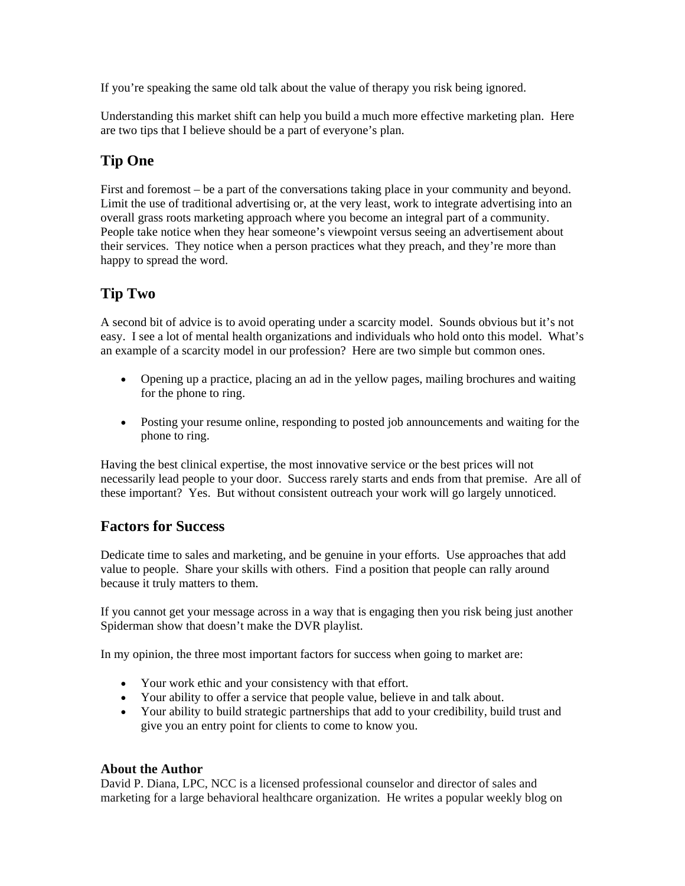If you're speaking the same old talk about the value of therapy you risk being ignored.

Understanding this market shift can help you build a much more effective marketing plan. Here are two tips that I believe should be a part of everyone's plan.

## **Tip One**

First and foremost – be a part of the conversations taking place in your community and beyond. Limit the use of traditional advertising or, at the very least, work to integrate advertising into an overall grass roots marketing approach where you become an integral part of a community. People take notice when they hear someone's viewpoint versus seeing an advertisement about their services. They notice when a person practices what they preach, and they're more than happy to spread the word.

### **Tip Two**

A second bit of advice is to avoid operating under a scarcity model. Sounds obvious but it's not easy. I see a lot of mental health organizations and individuals who hold onto this model. What's an example of a scarcity model in our profession? Here are two simple but common ones.

- Opening up a practice, placing an ad in the yellow pages, mailing brochures and waiting for the phone to ring.
- Posting your resume online, responding to posted job announcements and waiting for the phone to ring.

Having the best clinical expertise, the most innovative service or the best prices will not necessarily lead people to your door. Success rarely starts and ends from that premise. Are all of these important? Yes. But without consistent outreach your work will go largely unnoticed.

#### **Factors for Success**

Dedicate time to sales and marketing, and be genuine in your efforts. Use approaches that add value to people. Share your skills with others. Find a position that people can rally around because it truly matters to them.

If you cannot get your message across in a way that is engaging then you risk being just another Spiderman show that doesn't make the DVR playlist.

In my opinion, the three most important factors for success when going to market are:

- Your work ethic and your consistency with that effort.
- Your ability to offer a service that people value, believe in and talk about.
- Your ability to build strategic partnerships that add to your credibility, build trust and give you an entry point for clients to come to know you.

#### **About the Author**

David P. Diana, LPC, NCC is a licensed professional counselor and director of sales and marketing for a large behavioral healthcare organization. He writes a popular weekly blog on